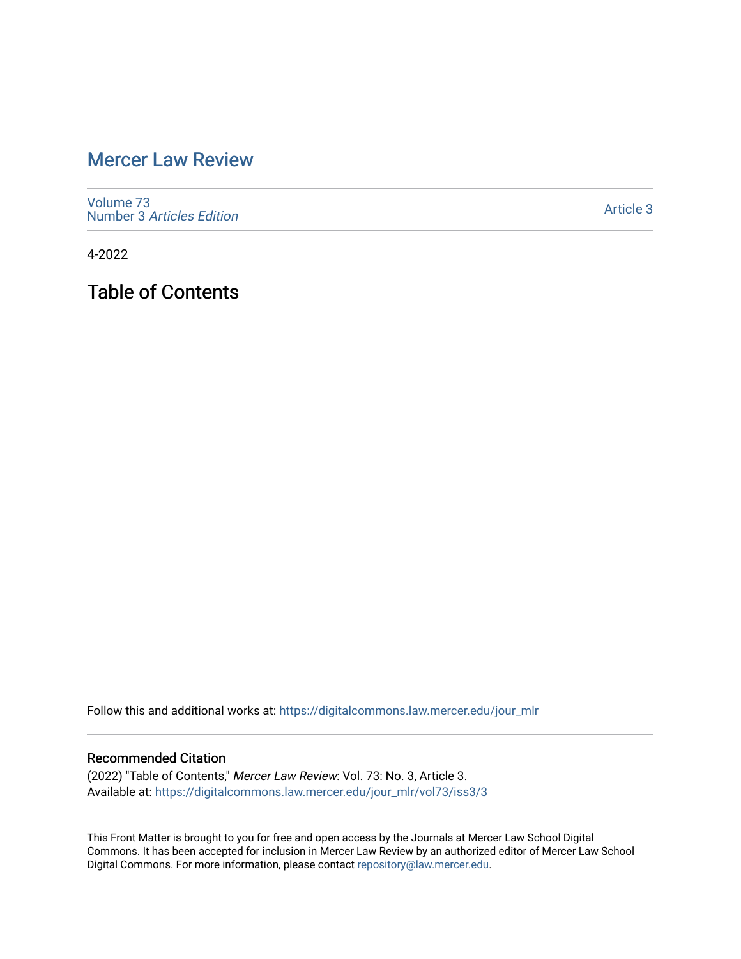## [Mercer Law Review](https://digitalcommons.law.mercer.edu/jour_mlr)

[Volume 73](https://digitalcommons.law.mercer.edu/jour_mlr/vol73) Number 3 [Articles Edition](https://digitalcommons.law.mercer.edu/jour_mlr/vol73/iss3) 

[Article 3](https://digitalcommons.law.mercer.edu/jour_mlr/vol73/iss3/3) 

4-2022

Table of Contents

Follow this and additional works at: [https://digitalcommons.law.mercer.edu/jour\\_mlr](https://digitalcommons.law.mercer.edu/jour_mlr?utm_source=digitalcommons.law.mercer.edu%2Fjour_mlr%2Fvol73%2Fiss3%2F3&utm_medium=PDF&utm_campaign=PDFCoverPages)

#### Recommended Citation

(2022) "Table of Contents," Mercer Law Review: Vol. 73: No. 3, Article 3. Available at: [https://digitalcommons.law.mercer.edu/jour\\_mlr/vol73/iss3/3](https://digitalcommons.law.mercer.edu/jour_mlr/vol73/iss3/3?utm_source=digitalcommons.law.mercer.edu%2Fjour_mlr%2Fvol73%2Fiss3%2F3&utm_medium=PDF&utm_campaign=PDFCoverPages)

This Front Matter is brought to you for free and open access by the Journals at Mercer Law School Digital Commons. It has been accepted for inclusion in Mercer Law Review by an authorized editor of Mercer Law School Digital Commons. For more information, please contact [repository@law.mercer.edu](mailto:repository@law.mercer.edu).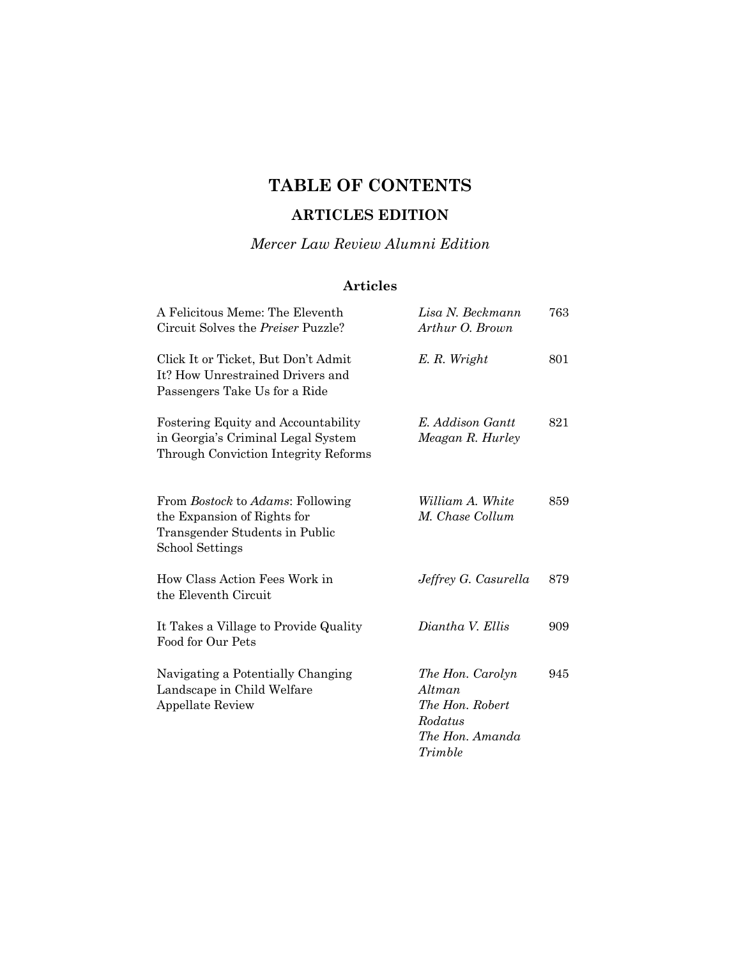# **TABLE OF CONTENTS**

### **ARTICLES EDITION**

*Mercer Law Review Alumni Edition* 

### **Articles**

| A Felicitous Meme: The Eleventh<br>Circuit Solves the <i>Preiser</i> Puzzle?                                                        | Lisa N. Beckmann<br>Arthur O. Brown                                                    | 763 |
|-------------------------------------------------------------------------------------------------------------------------------------|----------------------------------------------------------------------------------------|-----|
| Click It or Ticket, But Don't Admit<br>It? How Unrestrained Drivers and<br>Passengers Take Us for a Ride                            | E.R. Wright                                                                            | 801 |
| <b>Fostering Equity and Accountability</b><br>in Georgia's Criminal Legal System<br>Through Conviction Integrity Reforms            | E. Addison Gantt<br>Meagan R. Hurley                                                   | 821 |
| From <i>Bostock</i> to <i>Adams</i> : Following<br>the Expansion of Rights for<br>Transgender Students in Public<br>School Settings | William A. White<br>M. Chase Collum                                                    | 859 |
| How Class Action Fees Work in<br>the Eleventh Circuit                                                                               | Jeffrey G. Casurella                                                                   | 879 |
| It Takes a Village to Provide Quality<br>Food for Our Pets                                                                          | Diantha V. Ellis                                                                       | 909 |
| Navigating a Potentially Changing<br>Landscape in Child Welfare<br><b>Appellate Review</b>                                          | The Hon. Carolyn<br>Altman<br>The Hon. Robert<br>Rodatus<br>The Hon. Amanda<br>Trimble | 945 |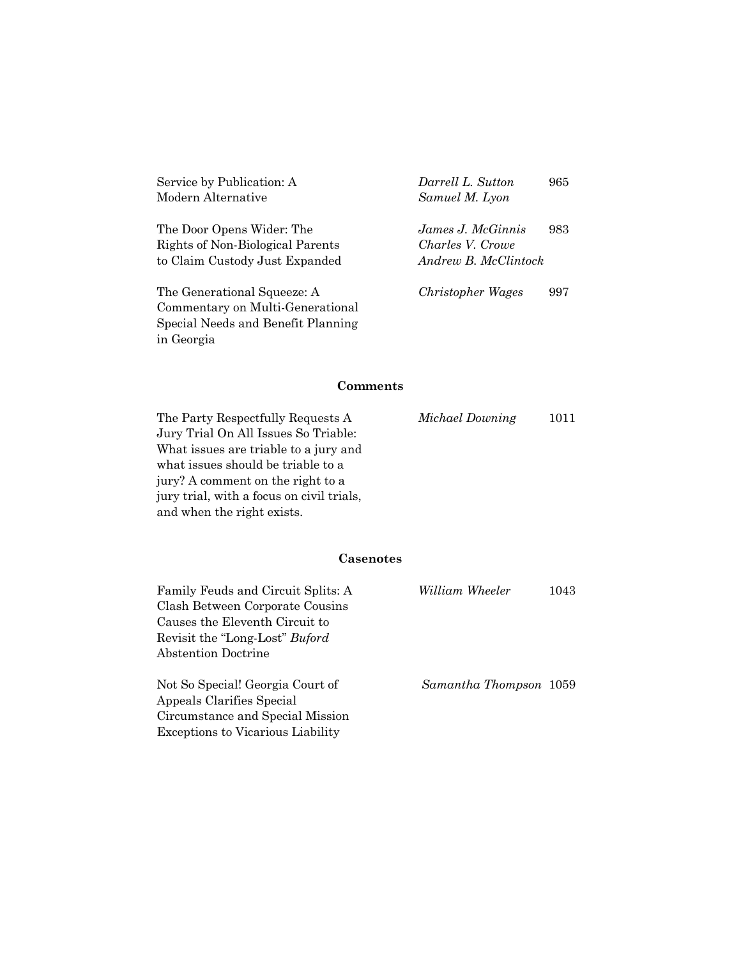| Service by Publication: A<br>Modern Alternative                                                       | Darrell L. Sutton<br>Samuel M. Lyon                           | 965 |
|-------------------------------------------------------------------------------------------------------|---------------------------------------------------------------|-----|
| The Door Opens Wider: The<br>Rights of Non-Biological Parents<br>to Claim Custody Just Expanded       | James J. McGinnis<br>Charles V. Crowe<br>Andrew B. McClintock | 983 |
| The Generational Squeeze: A<br>Commentary on Multi-Generational<br>Special Needs and Benefit Planning | Christopher Wages                                             | 997 |

### **Comments**

in Georgia

| The Party Respectfully Requests A         | Michael Downing | 1011 |
|-------------------------------------------|-----------------|------|
| Jury Trial On All Issues So Triable:      |                 |      |
| What issues are triable to a jury and     |                 |      |
| what issues should be triable to a        |                 |      |
| jury? A comment on the right to a         |                 |      |
| jury trial, with a focus on civil trials, |                 |      |
| and when the right exists.                |                 |      |

#### **Casenotes**

| Family Feuds and Circuit Splits: A       | William Wheeler        | 1043 |
|------------------------------------------|------------------------|------|
| Clash Between Corporate Cousins          |                        |      |
| Causes the Eleventh Circuit to           |                        |      |
| Revisit the "Long-Lost" <i>Buford</i>    |                        |      |
| Abstention Doctrine                      |                        |      |
| Not So Special! Georgia Court of         | Samantha Thompson 1059 |      |
| Appeals Clarifies Special                |                        |      |
| Circumstance and Special Mission         |                        |      |
| <b>Exceptions to Vicarious Liability</b> |                        |      |
|                                          |                        |      |